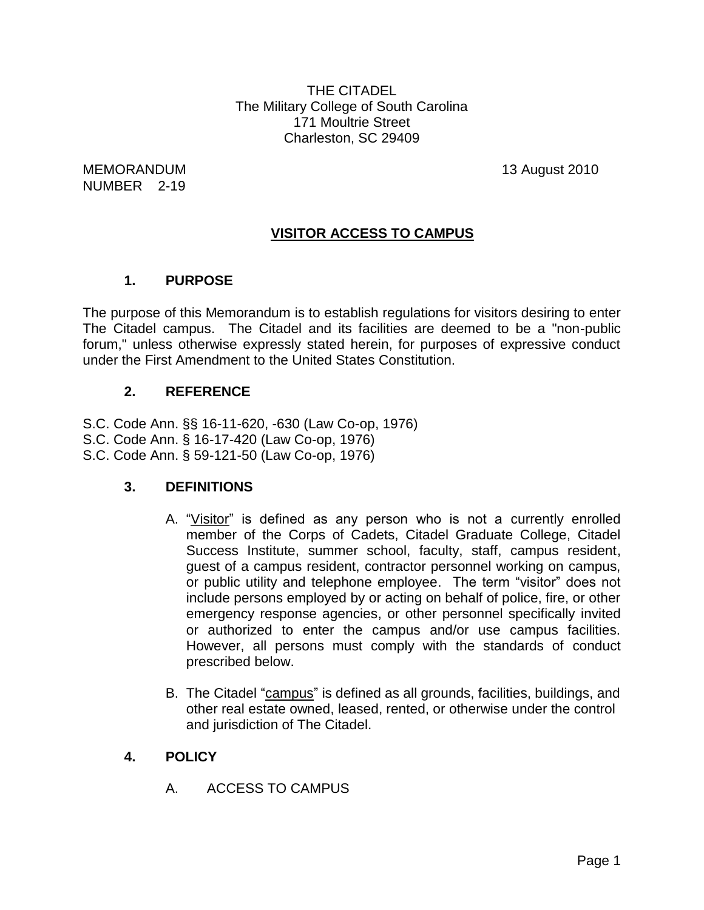THE CITADEL The Military College of South Carolina 171 Moultrie Street Charleston, SC 29409

MEMORANDUM 13 August 2010 NUMBER 2-19

# **VISITOR ACCESS TO CAMPUS**

## **1. PURPOSE**

The purpose of this Memorandum is to establish regulations for visitors desiring to enter The Citadel campus. The Citadel and its facilities are deemed to be a "non-public forum," unless otherwise expressly stated herein, for purposes of expressive conduct under the First Amendment to the United States Constitution.

## **2. REFERENCE**

S.C. Code Ann. §§ 16-11-620, -630 (Law Co-op, 1976) S.C. Code Ann. § 16-17-420 (Law Co-op, 1976) S.C. Code Ann. § 59-121-50 (Law Co-op, 1976)

## **3. DEFINITIONS**

- A. "Visitor" is defined as any person who is not a currently enrolled member of the Corps of Cadets, Citadel Graduate College, Citadel Success Institute, summer school, faculty, staff, campus resident, guest of a campus resident, contractor personnel working on campus, or public utility and telephone employee. The term "visitor" does not include persons employed by or acting on behalf of police, fire, or other emergency response agencies, or other personnel specifically invited or authorized to enter the campus and/or use campus facilities. However, all persons must comply with the standards of conduct prescribed below.
- B. The Citadel "campus" is defined as all grounds, facilities, buildings, and other real estate owned, leased, rented, or otherwise under the control and jurisdiction of The Citadel.

## **4. POLICY**

A. ACCESS TO CAMPUS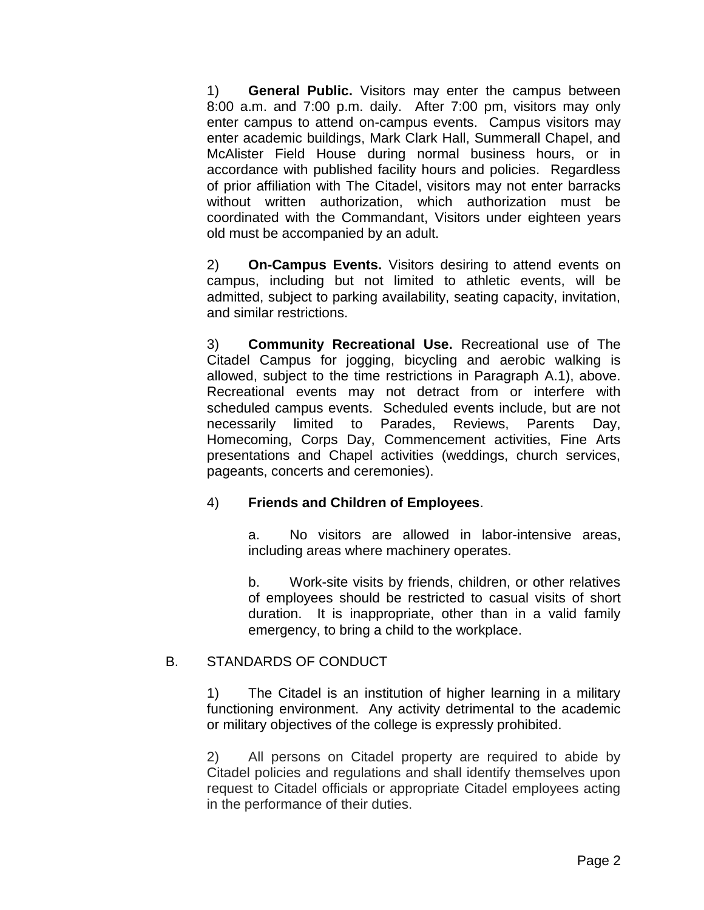1) **General Public.** Visitors may enter the campus between 8:00 a.m. and 7:00 p.m. daily. After 7:00 pm, visitors may only enter campus to attend on-campus events. Campus visitors may enter academic buildings, Mark Clark Hall, Summerall Chapel, and McAlister Field House during normal business hours, or in accordance with published facility hours and policies. Regardless of prior affiliation with The Citadel, visitors may not enter barracks without written authorization, which authorization must be coordinated with the Commandant, Visitors under eighteen years old must be accompanied by an adult.

2) **On-Campus Events.** Visitors desiring to attend events on campus, including but not limited to athletic events, will be admitted, subject to parking availability, seating capacity, invitation, and similar restrictions.

3) **Community Recreational Use.** Recreational use of The Citadel Campus for jogging, bicycling and aerobic walking is allowed, subject to the time restrictions in Paragraph A.1), above. Recreational events may not detract from or interfere with scheduled campus events. Scheduled events include, but are not necessarily limited to Parades, Reviews, Parents Day, Homecoming, Corps Day, Commencement activities, Fine Arts presentations and Chapel activities (weddings, church services, pageants, concerts and ceremonies).

### 4) **Friends and Children of Employees**.

a. No visitors are allowed in labor-intensive areas, including areas where machinery operates.

b. Work-site visits by friends, children, or other relatives of employees should be restricted to casual visits of short duration. It is inappropriate, other than in a valid family emergency, to bring a child to the workplace.

### B. STANDARDS OF CONDUCT

1) The Citadel is an institution of higher learning in a military functioning environment. Any activity detrimental to the academic or military objectives of the college is expressly prohibited.

2) All persons on Citadel property are required to abide by Citadel policies and regulations and shall identify themselves upon request to Citadel officials or appropriate Citadel employees acting in the performance of their duties.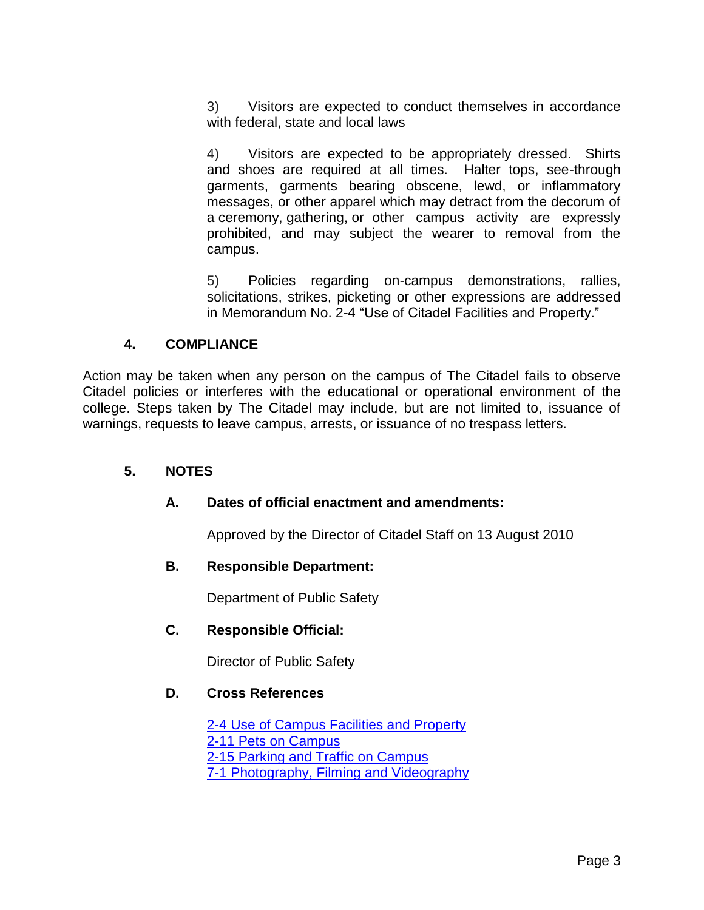3) Visitors are expected to conduct themselves in accordance with federal, state and local laws

4) Visitors are expected to be appropriately dressed. Shirts and shoes are required at all times. Halter tops, see-through garments, garments bearing obscene, lewd, or inflammatory messages, or other apparel which may detract from the decorum of a ceremony, gathering, or other campus activity are expressly prohibited, and may subject the wearer to removal from the campus.

5) Policies regarding on-campus demonstrations, rallies, solicitations, strikes, picketing or other expressions are addressed in Memorandum No. 2-4 "Use of Citadel Facilities and Property."

## **4. COMPLIANCE**

Action may be taken when any person on the campus of The Citadel fails to observe Citadel policies or interferes with the educational or operational environment of the college. Steps taken by The Citadel may include, but are not limited to, issuance of warnings, requests to leave campus, arrests, or issuance of no trespass letters.

## **5. NOTES**

## **A. Dates of official enactment and amendments:**

Approved by the Director of Citadel Staff on 13 August 2010

### **B. Responsible Department:**

Department of Public Safety

### **C. Responsible Official:**

Director of Public Safety

### **D. Cross References**

[2-4 Use of Campus Facilities and Property](http://www.citadel.edu/root/images/Policies/6-404-use-of-citadel-facilities-policy.pdf) [2-11 Pets on Campus](http://www.citadel.edu/root/images/Policies/6-411-pets-on-campus.pdf) [2-15 Parking and Traffic on Campus](http://www.citadel.edu/root/images/Policies/6-305-parking-and-traffic-on-campus.pdf) [7-1 Photography, Filming and Videography](http://www.citadel.edu/root/images/Policies/7-001-photography-filming-and-videography-on-campus.pdf)